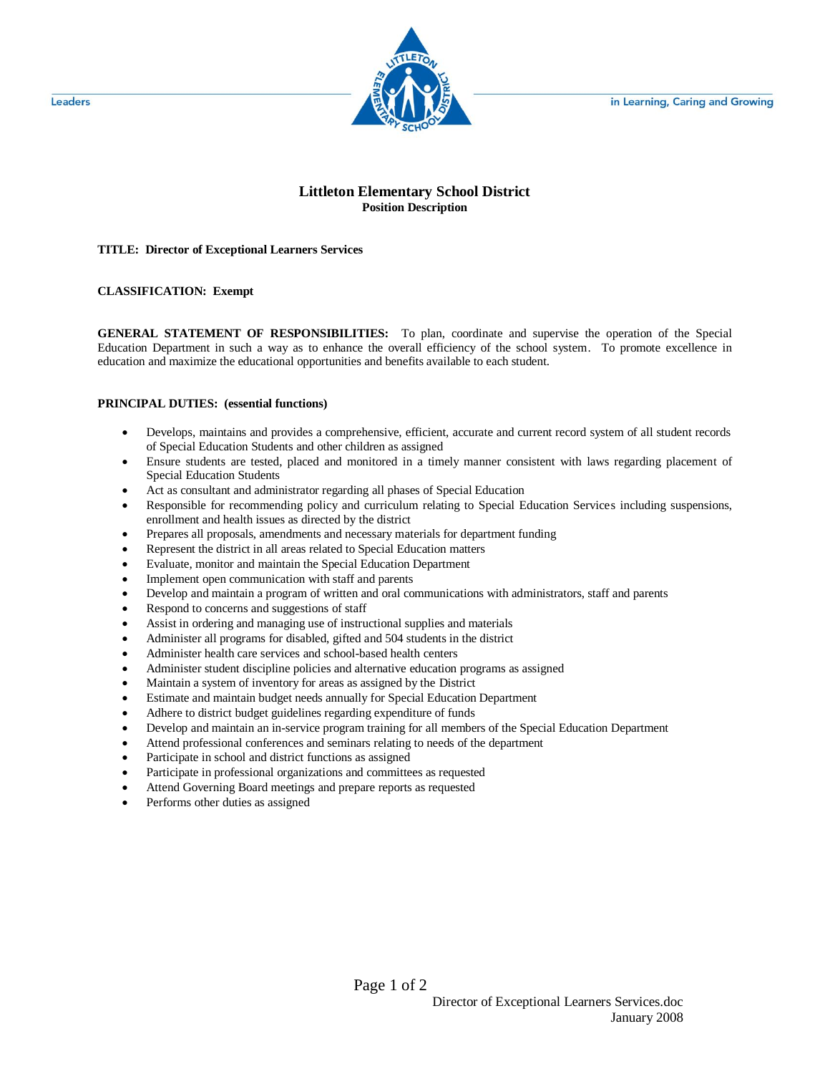in Learning, Caring and Growing



## **Littleton Elementary School District Position Description**

**TITLE: Director of Exceptional Learners Services**

## **CLASSIFICATION: Exempt**

**GENERAL STATEMENT OF RESPONSIBILITIES:** To plan, coordinate and supervise the operation of the Special Education Department in such a way as to enhance the overall efficiency of the school system. To promote excellence in education and maximize the educational opportunities and benefits available to each student.

## **PRINCIPAL DUTIES: (essential functions)**

- Develops, maintains and provides a comprehensive, efficient, accurate and current record system of all student records of Special Education Students and other children as assigned
- Ensure students are tested, placed and monitored in a timely manner consistent with laws regarding placement of Special Education Students
- Act as consultant and administrator regarding all phases of Special Education
- Responsible for recommending policy and curriculum relating to Special Education Services including suspensions, enrollment and health issues as directed by the district
- Prepares all proposals, amendments and necessary materials for department funding
- Represent the district in all areas related to Special Education matters
- Evaluate, monitor and maintain the Special Education Department
- Implement open communication with staff and parents
- Develop and maintain a program of written and oral communications with administrators, staff and parents
- Respond to concerns and suggestions of staff
- Assist in ordering and managing use of instructional supplies and materials
- Administer all programs for disabled, gifted and 504 students in the district
- Administer health care services and school-based health centers
- Administer student discipline policies and alternative education programs as assigned
- Maintain a system of inventory for areas as assigned by the District
- Estimate and maintain budget needs annually for Special Education Department
- Adhere to district budget guidelines regarding expenditure of funds
- Develop and maintain an in-service program training for all members of the Special Education Department
- Attend professional conferences and seminars relating to needs of the department
- Participate in school and district functions as assigned
- Participate in professional organizations and committees as requested
- Attend Governing Board meetings and prepare reports as requested
- Performs other duties as assigned